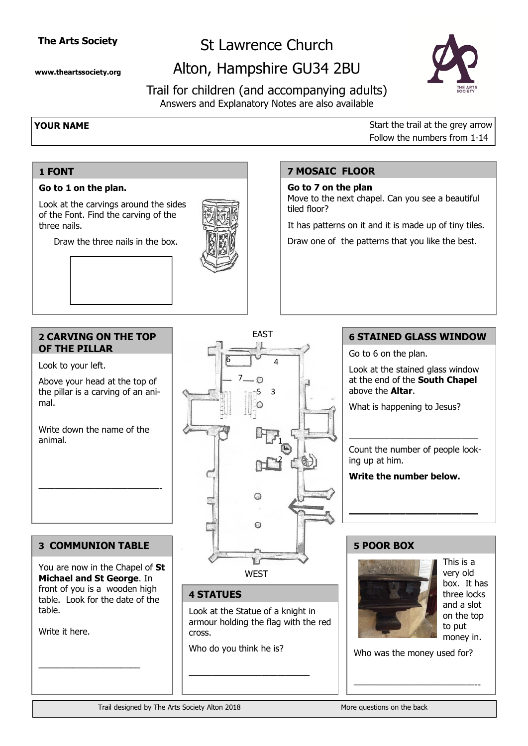## **The Arts Society**

**www.theartssociety.org**

**Go to 1 on the plan.** 

of the Font. Find the carving of the

Draw the three nails in the box.

# St Lawrence Church

# Alton, Hampshire GU34 2BU



Trail for children (and accompanying adults) Answers and Explanatory Notes are also available

> **7 MOSAIC FLOOR Go to 7 on the plan**

tiled floor?

**1 FONT**

three nails.

**YOUR NAME** Start the trail at the grey arrow Follow the numbers from 1-14

# Look at the carvings around the sides

# **2 CARVING ON THE TOP**

Look to your left.

**OF THE PILLAR**

Above your head at the top of the pillar is a carving of an animal.

Write down the name of the animal.

———————————————-

### **3 COMMUNION TABLE**

You are now in the Chapel of **St Michael and St George**. In front of you is a wooden high table. Look for the date of the table.

\_\_\_\_\_\_\_\_\_\_\_\_\_\_\_\_\_\_\_\_\_

Write it here.



### **4 STATUES**

Look at the Statue of a knight in armour holding the flag with the red cross.

Who do you think he is?

———————————————

### **5 POOR BOX**



This is a very old box. It has three locks and a slot on the top to put money in.

Who was the money used for?

———————————————--

### **6 STAINED GLASS WINDOW**

Go to 6 on the plan.

Move to the next chapel. Can you see a beautiful

It has patterns on it and it is made up of tiny tiles. Draw one of the patterns that you like the best.

> Look at the stained glass window at the end of the **South Chapel** above the **Altar**.

What is happening to Jesus?

———————————————— Count the number of people looking up at him.

**————————————————**

**Write the number below.**